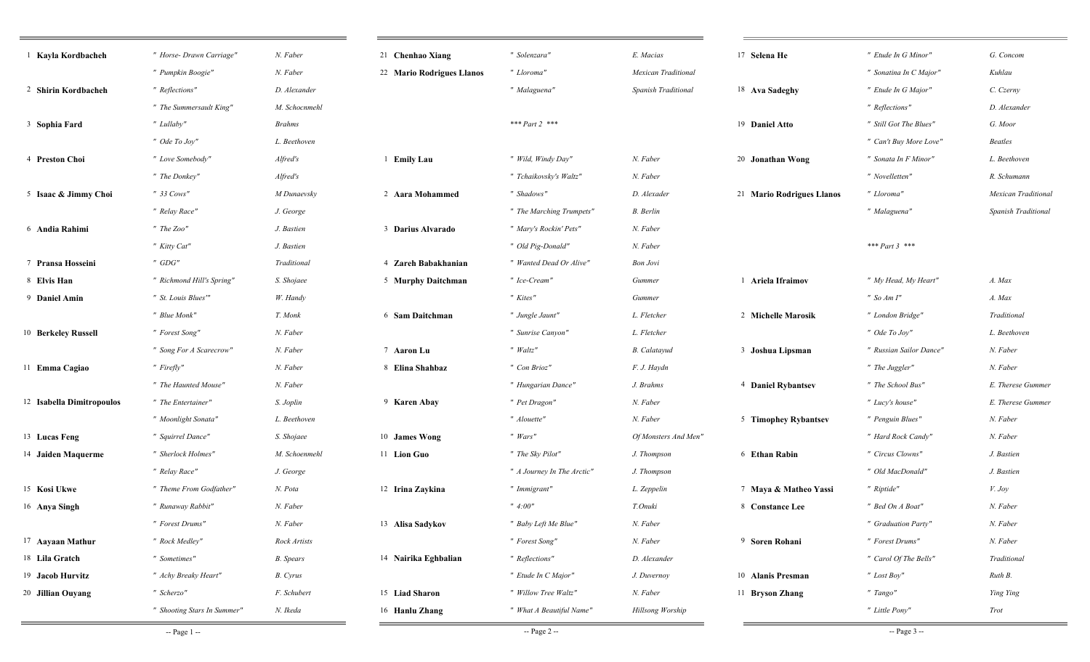| <sup>1</sup> Kayla Kordbacheh | " Horse- Drawn Carriage"    | N. Faber         | 21 Chenhao Xiang          | " Solenzara"               | E. Macias            | 17 Selena He              | " Etude In G Minor"     | G. Concom           |
|-------------------------------|-----------------------------|------------------|---------------------------|----------------------------|----------------------|---------------------------|-------------------------|---------------------|
|                               | " Pumpkin Boogie"           | N. Faber         | 22 Mario Rodrigues Llanos | " Lloroma"                 | Mexican Traditional  |                           | " Sonatina In C Major"  | Kuhlau              |
| 2 Shirin Kordbacheh           | " Reflections"              | D. Alexander     |                           | " Malaguena"               | Spanish Traditional  | 18 Ava Sadeghy            | " Etude In G Major"     | C. Czerny           |
|                               | " The Summersault King"     | M. Schocnmehl    |                           |                            |                      |                           | " Reflections"          | D. Alexander        |
| 3 Sophia Fard                 | " Lullaby"                  | <b>Brahms</b>    |                           | *** Part 2 ***             |                      | 19 Daniel Atto            | " Still Got The Blues"  | G. Moor             |
|                               | " Ode To Joy"               | L. Beethoven     |                           |                            |                      |                           | " Can't Buy More Love"  | <b>Beatles</b>      |
| 4 Preston Choi                | " Love Somebody"            | Alfred's         | 1 Emily Lau               | " Wild, Windy Day"         | N. Faber             | 20 Jonathan Wong          | " Sonata In F Minor"    | L. Beethoven        |
|                               | " The Donkey"               | Alfred's         |                           | " Tchaikovsky's Waltz"     | N. Faber             |                           | " Novelletten"          | R. Schumann         |
| 5 Isaac & Jimmy Choi          | $" 33 \text{ Cows}$ "       | M Dunaevsky      | 2 Aara Mohammed           | " Shadows"                 | D. Alexader          | 21 Mario Rodrigues Llanos | " Lloroma"              | Mexican Traditiona  |
|                               | " Relay Race"               | J. George        |                           | " The Marching Trumpets"   | B. Berlin            |                           | " Malaguena"            | Spanish Traditional |
| 6 Andia Rahimi                | " The Zoo"                  | J. Bastien       | 3 Darius Alvarado         | " Mary's Rockin' Pets"     | N. Faber             |                           |                         |                     |
|                               | " Kitty Cat"                | J. Bastien       |                           | " Old Pig-Donald"          | N. Faber             |                           | *** $Part 3$ ***        |                     |
| 7 Pransa Hosseini             | $"$ GDG"                    | Traditional      | 4 Zareh Babakhanian       | " Wanted Dead Or Alive"    | <b>Bon Jovi</b>      |                           |                         |                     |
| 8 Elvis Han                   | " Richmond Hill's Spring"   | S. Shojaee       | 5 Murphy Daitchman        | " Ice-Cream"               | Gummer               | 1 Ariela Ifraimov         | " My Head, My Heart"    | A. Max              |
| 9 Daniel Amin                 | " St. Louis Blues"          | W. Handy         |                           | " Kites"                   | Gummer               |                           | " So $Am I$ "           | A. Max              |
|                               | " Blue Monk"                | T. Monk          | 6 Sam Daitchman           | " Jungle Jaunt"            | L. Fletcher          | 2 Michelle Marosik        | " London Bridge"        | Traditional         |
| 10 Berkeley Russell           | " Forest Song"              | N. Faber         |                           | " Sunrise Canyon"          | L. Fletcher          |                           | " Ode To Joy"           | L. Beethoven        |
|                               | " Song For A Scarecrow"     | N. Faber         | 7 Aaron Lu                | $"$ Waltz"                 | <b>B.</b> Calatayud  | 3 Joshua Lipsman          | " Russian Sailor Dance' | N. Faber            |
| 11 Emma Cagiao                | " Firefly"                  | N. Faber         | 8 Elina Shahbaz           | " Con Brioz"               | F. J. Haydn          |                           | " The Juggler"          | N. Faber            |
|                               | " The Haunted Mouse"        | N. Faber         |                           | " Hungarian Dance"         | J. Brahms            | 4 Daniel Rybantsev        | " The School Bus"       | E. Therese Gummer   |
| 12 Isabella Dimitropoulos     | " The Entertainer"          | S. Joplin        | 9 Karen Abay              | " Pet Dragon"              | N. Faber             |                           | " Lucy's house"         | E. Therese Gummer   |
|                               | " Moonlight Sonata"         | L. Beethoven     |                           | " Alouette"                | N. Faber             | 5 Timophey Rybantsev      | " Penguin Blues"        | N. Faber            |
| 13 Lucas Feng                 | " Squirrel Dance"           | S. Shojaee       | 10 James Wong             | " Wars"                    | Of Monsters And Men" |                           | " Hard Rock Candy"      | N. Faber            |
| 14 Jaiden Maquerme            | " Sherlock Holmes"          | M. Schoenmehl    | 11 Lion Guo               | " The Sky Pilot"           | J. Thompson          | 6 Ethan Rabin             | " Circus Clowns"        | J. Bastien          |
|                               | " Relay Race"               | J. George        |                           | " A Journey In The Arctic" | J. Thompson          |                           | " Old MacDonald"        | J. Bastien          |
| 15 Kosi Ukwe                  | " Theme From Godfather"     | N. Pota          | 12 Irina Zaykina          | " Immigrant"               | L. Zeppelin          | 7 Maya & Matheo Yassi     | " Riptide"              | V. Joy              |
| 16 Anya Singh                 | " Runaway Rabbit"           | N. Faber         |                           | " 4:00"                    | T.Onuki              | 8 Constance Lee           | " Bed On A Boat"        | N. Faber            |
|                               | " Forest Drums"             | N. Faber         | 13 Alisa Sadykov          | " Baby Left Me Blue"       | N. Faber             |                           | " Graduation Party"     | N. Faber            |
| 17 Aayaan Mathur              | " Rock Medley"              | Rock Artists     |                           | " Forest Song"             | N. Faber             | 9 Soren Rohani            | " Forest Drums"         | N. Faber            |
| 18 Lila Gratch                | " Sometimes"                | <b>B.</b> Spears | 14 Nairika Eghbalian      | " Reflections"             | D. Alexander         |                           | " Carol Of The Bells"   | Traditional         |
| 19 Jacob Hurvitz              | " Achy Breaky Heart"        | <b>B.</b> Cyrus  |                           | " Etude In C Major"        | J. Duvernoy          | 10 Alanis Presman         | " Lost Boy"             | Ruth B.             |
| 20 Jillian Ouyang             | " Scherzo"                  | F. Schubert      | 15 Liad Sharon            | " Willow Tree Waltz"       | N. Faber             | 11 Bryson Zhang           | " Tango"                | Ying Ying           |
|                               | " Shooting Stars In Summer" | N. Ikeda         | 16 Hanlu Zhang            | " What A Beautiful Name"   | Hillsong Worship     |                           | " Little Pony"          | Trot                |
|                               |                             |                  |                           |                            |                      |                           |                         |                     |